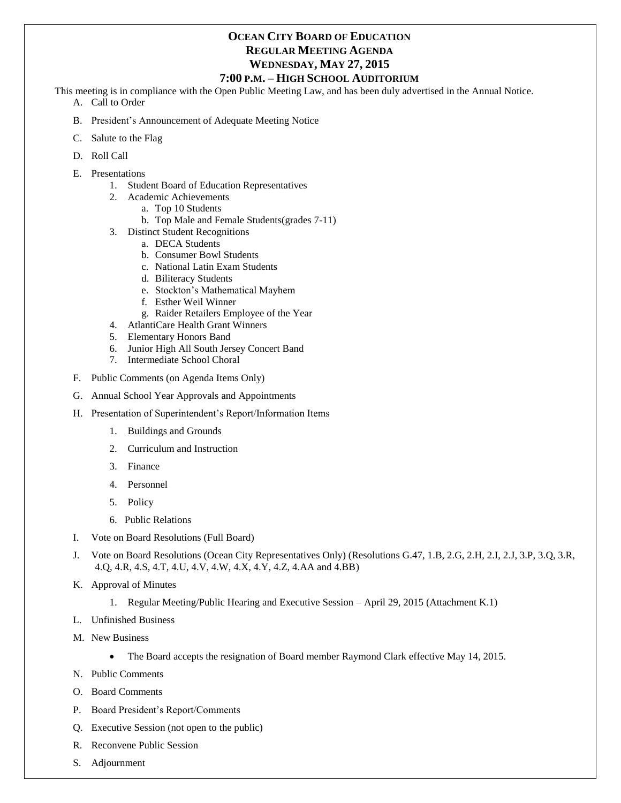# **OCEAN CITY BOARD OF EDUCATION REGULAR MEETING AGENDA WEDNESDAY, MAY 27, 2015**

#### **7:00 P.M. – HIGH SCHOOL AUDITORIUM**

This meeting is in compliance with the Open Public Meeting Law, and has been duly advertised in the Annual Notice.

- A. Call to Order
- B. President's Announcement of Adequate Meeting Notice
- C. Salute to the Flag
- D. Roll Call
- E. Presentations
	- 1. Student Board of Education Representatives
	- 2. Academic Achievements
		- a. Top 10 Students
		- b. Top Male and Female Students(grades 7-11)
	- 3. Distinct Student Recognitions
		- a. DECA Students
			- b. Consumer Bowl Students
			- c. National Latin Exam Students
			- d. Biliteracy Students
			- e. Stockton's Mathematical Mayhem
			- f. Esther Weil Winner
			- g. Raider Retailers Employee of the Year
	- 4. AtlantiCare Health Grant Winners
	- 5. Elementary Honors Band
	- 6. Junior High All South Jersey Concert Band
	- 7. Intermediate School Choral
- F. Public Comments (on Agenda Items Only)
- G. Annual School Year Approvals and Appointments
- H. Presentation of Superintendent's Report/Information Items
	- 1. Buildings and Grounds
	- 2. Curriculum and Instruction
	- 3. Finance
	- 4. Personnel
	- 5. Policy
	- 6. Public Relations
- I. Vote on Board Resolutions (Full Board)
- J. Vote on Board Resolutions (Ocean City Representatives Only) (Resolutions G.47, 1.B, 2.G, 2.H, 2.I, 2.J, 3.P, 3.Q, 3.R, 4.Q, 4.R, 4.S, 4.T, 4.U, 4.V, 4.W, 4.X, 4.Y, 4.Z, 4.AA and 4.BB)
- K. Approval of Minutes
	- 1. Regular Meeting/Public Hearing and Executive Session April 29, 2015 (Attachment K.1)
- L. Unfinished Business
- M. New Business
	- The Board accepts the resignation of Board member Raymond Clark effective May 14, 2015.
- N. Public Comments
- O. Board Comments
- P. Board President's Report/Comments
- Q. Executive Session (not open to the public)
- R. Reconvene Public Session
- S. Adjournment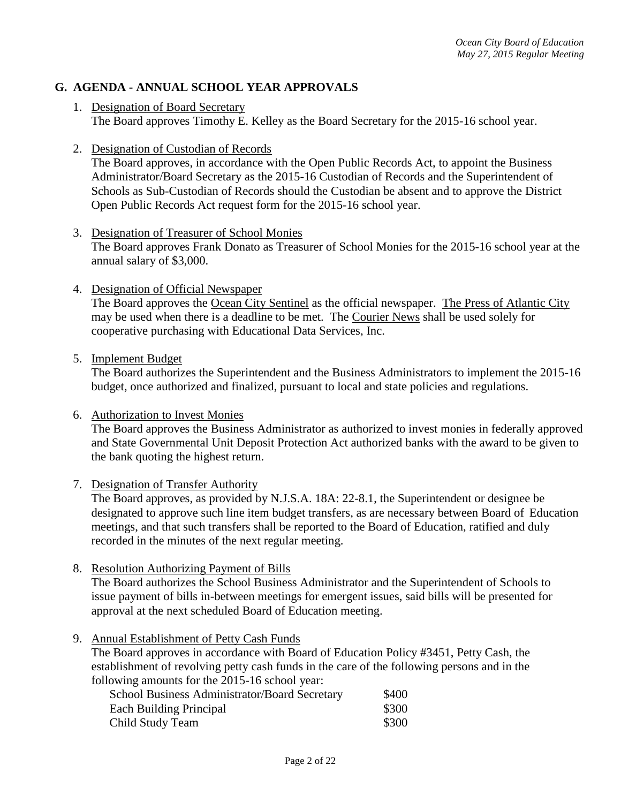# **G. AGENDA - ANNUAL SCHOOL YEAR APPROVALS**

- 1. Designation of Board Secretary The Board approves Timothy E. Kelley as the Board Secretary for the 2015-16 school year.
- 2. Designation of Custodian of Records

The Board approves, in accordance with the Open Public Records Act, to appoint the Business Administrator/Board Secretary as the 2015-16 Custodian of Records and the Superintendent of Schools as Sub-Custodian of Records should the Custodian be absent and to approve the District Open Public Records Act request form for the 2015-16 school year.

- 3. Designation of Treasurer of School Monies The Board approves Frank Donato as Treasurer of School Monies for the 2015-16 school year at the annual salary of \$3,000.
- 4. Designation of Official Newspaper

The Board approves the Ocean City Sentinel as the official newspaper. The Press of Atlantic City may be used when there is a deadline to be met. The Courier News shall be used solely for cooperative purchasing with Educational Data Services, Inc.

5. Implement Budget

The Board authorizes the Superintendent and the Business Administrators to implement the 2015-16 budget, once authorized and finalized, pursuant to local and state policies and regulations.

6. Authorization to Invest Monies

The Board approves the Business Administrator as authorized to invest monies in federally approved and State Governmental Unit Deposit Protection Act authorized banks with the award to be given to the bank quoting the highest return.

7. Designation of Transfer Authority

The Board approves, as provided by N.J.S.A. 18A: 22-8.1, the Superintendent or designee be designated to approve such line item budget transfers, as are necessary between Board of Education meetings, and that such transfers shall be reported to the Board of Education, ratified and duly recorded in the minutes of the next regular meeting.

8. Resolution Authorizing Payment of Bills

The Board authorizes the School Business Administrator and the Superintendent of Schools to issue payment of bills in-between meetings for emergent issues, said bills will be presented for approval at the next scheduled Board of Education meeting.

9. Annual Establishment of Petty Cash Funds

The Board approves in accordance with Board of Education Policy #3451, Petty Cash, the establishment of revolving petty cash funds in the care of the following persons and in the following amounts for the 2015-16 school year:

| School Business Administrator/Board Secretary | \$400 |
|-----------------------------------------------|-------|
| Each Building Principal                       | \$300 |
| Child Study Team                              | \$300 |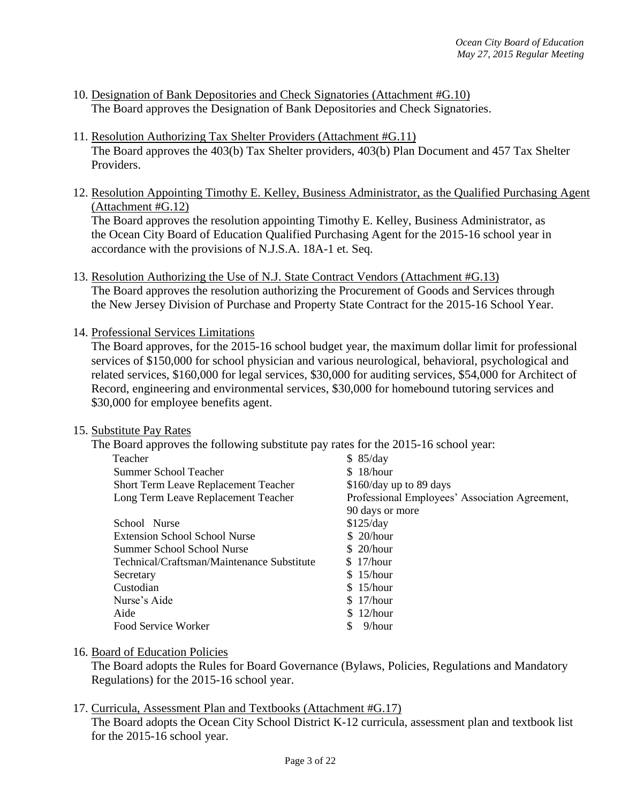- 10. Designation of Bank Depositories and Check Signatories (Attachment #G.10) The Board approves the Designation of Bank Depositories and Check Signatories.
- 11. Resolution Authorizing Tax Shelter Providers (Attachment #G.11) The Board approves the 403(b) Tax Shelter providers, 403(b) Plan Document and 457 Tax Shelter Providers.
- 12. Resolution Appointing Timothy E. Kelley, Business Administrator, as the Qualified Purchasing Agent (Attachment #G.12)

The Board approves the resolution appointing Timothy E. Kelley, Business Administrator, as the Ocean City Board of Education Qualified Purchasing Agent for the 2015-16 school year in accordance with the provisions of N.J.S.A. 18A-1 et. Seq.

13. Resolution Authorizing the Use of N.J. State Contract Vendors (Attachment #G.13) The Board approves the resolution authorizing the Procurement of Goods and Services through the New Jersey Division of Purchase and Property State Contract for the 2015-16 School Year.

14. Professional Services Limitations

The Board approves, for the 2015-16 school budget year, the maximum dollar limit for professional services of \$150,000 for school physician and various neurological, behavioral, psychological and related services, \$160,000 for legal services, \$30,000 for auditing services, \$54,000 for Architect of Record, engineering and environmental services, \$30,000 for homebound tutoring services and \$30,000 for employee benefits agent.

### 15. Substitute Pay Rates

The Board approves the following substitute pay rates for the 2015-16 school year:

| Teacher                                     | \$85/day                                       |
|---------------------------------------------|------------------------------------------------|
| Summer School Teacher                       | \$18/hour                                      |
| <b>Short Term Leave Replacement Teacher</b> | \$160/day up to 89 days                        |
| Long Term Leave Replacement Teacher         | Professional Employees' Association Agreement, |
|                                             | 90 days or more                                |
| School Nurse                                | \$125/day                                      |
| <b>Extension School School Nurse</b>        | \$20/hour                                      |
| Summer School School Nurse                  | \$20/hour                                      |
| Technical/Craftsman/Maintenance Substitute  | \$17/hour                                      |
| Secretary                                   | \$15/hour                                      |
| Custodian                                   | \$15/hour                                      |
| Nurse's Aide                                | \$17/hour                                      |
| Aide                                        | $12/h$ our                                     |
| Food Service Worker                         | 9/hour<br>S                                    |

### 16. Board of Education Policies

The Board adopts the Rules for Board Governance (Bylaws, Policies, Regulations and Mandatory Regulations) for the 2015-16 school year.

## 17. Curricula, Assessment Plan and Textbooks (Attachment #G.17)

The Board adopts the Ocean City School District K-12 curricula, assessment plan and textbook list for the 2015-16 school year.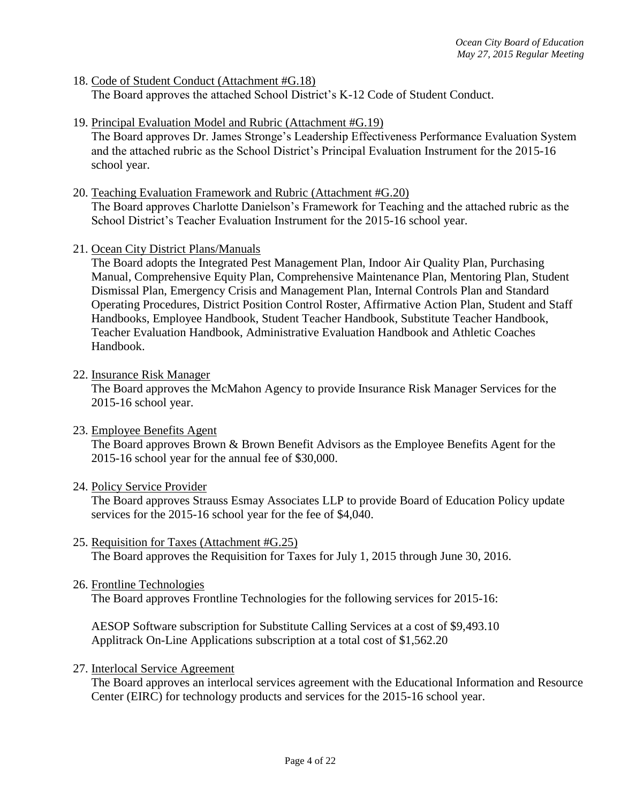- 18. Code of Student Conduct (Attachment #G.18) The Board approves the attached School District's K-12 Code of Student Conduct.
- 19. Principal Evaluation Model and Rubric (Attachment #G.19)

The Board approves Dr. James Stronge's Leadership Effectiveness Performance Evaluation System and the attached rubric as the School District's Principal Evaluation Instrument for the 2015-16 school year.

- 20. Teaching Evaluation Framework and Rubric (Attachment #G.20) The Board approves Charlotte Danielson's Framework for Teaching and the attached rubric as the School District's Teacher Evaluation Instrument for the 2015-16 school year.
- 21. Ocean City District Plans/Manuals

The Board adopts the Integrated Pest Management Plan, Indoor Air Quality Plan, Purchasing Manual, Comprehensive Equity Plan, Comprehensive Maintenance Plan, Mentoring Plan, Student Dismissal Plan, Emergency Crisis and Management Plan, Internal Controls Plan and Standard Operating Procedures, District Position Control Roster, Affirmative Action Plan, Student and Staff Handbooks, Employee Handbook, Student Teacher Handbook, Substitute Teacher Handbook, Teacher Evaluation Handbook, Administrative Evaluation Handbook and Athletic Coaches Handbook.

22. Insurance Risk Manager

The Board approves the McMahon Agency to provide Insurance Risk Manager Services for the 2015-16 school year.

23. Employee Benefits Agent

The Board approves Brown & Brown Benefit Advisors as the Employee Benefits Agent for the 2015-16 school year for the annual fee of \$30,000.

### 24. Policy Service Provider

The Board approves Strauss Esmay Associates LLP to provide Board of Education Policy update services for the 2015-16 school year for the fee of \$4,040.

- 25. Requisition for Taxes (Attachment #G.25) The Board approves the Requisition for Taxes for July 1, 2015 through June 30, 2016.
- 26. Frontline Technologies

The Board approves Frontline Technologies for the following services for 2015-16:

AESOP Software subscription for Substitute Calling Services at a cost of \$9,493.10 Applitrack On-Line Applications subscription at a total cost of \$1,562.20

27. Interlocal Service Agreement

The Board approves an interlocal services agreement with the Educational Information and Resource Center (EIRC) for technology products and services for the 2015-16 school year.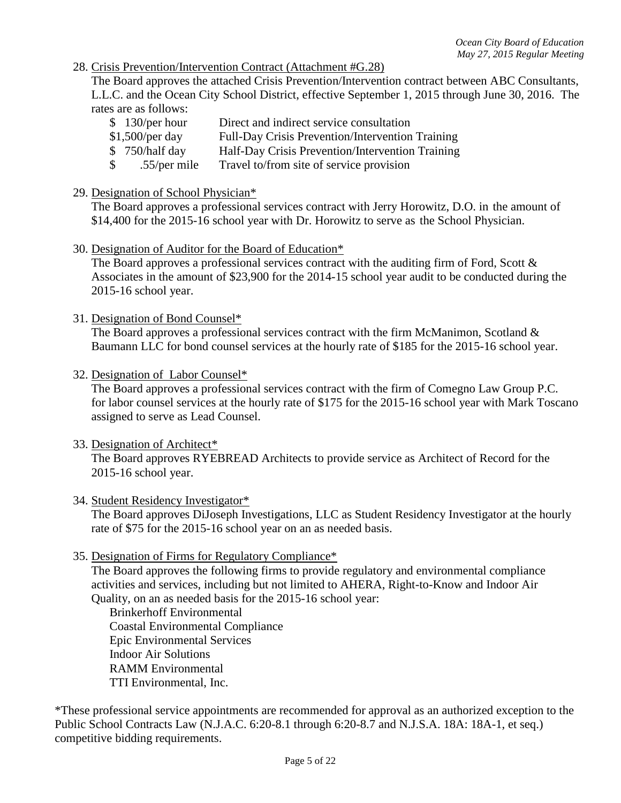### 28. Crisis Prevention/Intervention Contract (Attachment #G.28)

The Board approves the attached Crisis Prevention/Intervention contract between ABC Consultants, L.L.C. and the Ocean City School District, effective September 1, 2015 through June 30, 2016. The rates are as follows:

- \$ 130/per hour Direct and indirect service consultation
- \$1,500/per day Full-Day Crisis Prevention/Intervention Training
- \$ 750/half day Half-Day Crisis Prevention/Intervention Training
- \$ .55/per mile Travel to/from site of service provision

#### 29. Designation of School Physician\*

The Board approves a professional services contract with Jerry Horowitz, D.O. in the amount of \$14,400 for the 2015-16 school year with Dr. Horowitz to serve as the School Physician.

30. Designation of Auditor for the Board of Education\*

The Board approves a professional services contract with the auditing firm of Ford, Scott & Associates in the amount of \$23,900 for the 2014-15 school year audit to be conducted during the 2015-16 school year.

31. Designation of Bond Counsel\*

The Board approves a professional services contract with the firm McManimon, Scotland  $\&$ Baumann LLC for bond counsel services at the hourly rate of \$185 for the 2015-16 school year.

32. Designation of Labor Counsel\*

The Board approves a professional services contract with the firm of Comegno Law Group P.C. for labor counsel services at the hourly rate of \$175 for the 2015-16 school year with Mark Toscano assigned to serve as Lead Counsel.

33. Designation of Architect\*

The Board approves RYEBREAD Architects to provide service as Architect of Record for the 2015-16 school year.

#### 34. Student Residency Investigator\*

The Board approves DiJoseph Investigations, LLC as Student Residency Investigator at the hourly rate of \$75 for the 2015-16 school year on an as needed basis.

35. Designation of Firms for Regulatory Compliance\*

The Board approves the following firms to provide regulatory and environmental compliance activities and services, including but not limited to AHERA, Right-to-Know and Indoor Air Quality, on an as needed basis for the 2015-16 school year:

Brinkerhoff Environmental Coastal Environmental Compliance Epic Environmental Services Indoor Air Solutions RAMM Environmental TTI Environmental, Inc.

\*These professional service appointments are recommended for approval as an authorized exception to the Public School Contracts Law (N.J.A.C. 6:20-8.1 through 6:20-8.7 and N.J.S.A. 18A: 18A-1, et seq.) competitive bidding requirements.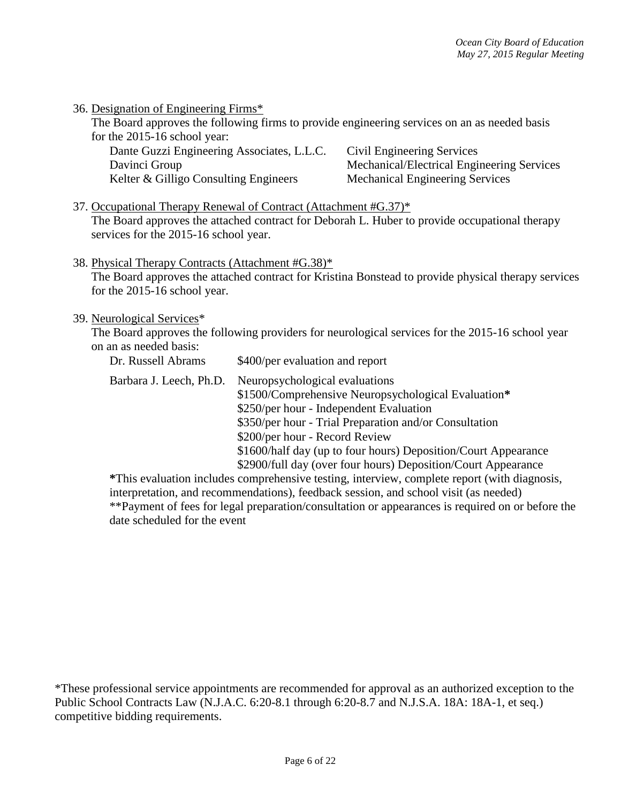| 36. Designation of Engineering Firms* |
|---------------------------------------|
|---------------------------------------|

The Board approves the following firms to provide engineering services on an as needed basis for the 2015-16 school year:

| Dante Guzzi Engineering Associates, L.L.C. | Civil Engineering Services                 |
|--------------------------------------------|--------------------------------------------|
| Davinci Group                              | Mechanical/Electrical Engineering Services |
| Kelter & Gilligo Consulting Engineers      | <b>Mechanical Engineering Services</b>     |

37. Occupational Therapy Renewal of Contract (Attachment #G.37)\* The Board approves the attached contract for Deborah L. Huber to provide occupational therapy services for the 2015-16 school year.

38. Physical Therapy Contracts (Attachment #G.38)\*

The Board approves the attached contract for Kristina Bonstead to provide physical therapy services for the 2015-16 school year.

#### 39. Neurological Services\*

The Board approves the following providers for neurological services for the 2015-16 school year on an as needed basis:

| Dr. Russell Abrams      | \$400/per evaluation and report                                                                                                                                                                                                                                                                                                                                 |
|-------------------------|-----------------------------------------------------------------------------------------------------------------------------------------------------------------------------------------------------------------------------------------------------------------------------------------------------------------------------------------------------------------|
| Barbara J. Leech, Ph.D. | Neuropsychological evaluations<br>\$1500/Comprehensive Neuropsychological Evaluation*<br>\$250/per hour - Independent Evaluation<br>\$350/per hour - Trial Preparation and/or Consultation<br>\$200/per hour - Record Review<br>\$1600/half day (up to four hours) Deposition/Court Appearance<br>\$2900/full day (over four hours) Deposition/Court Appearance |

**\***This evaluation includes comprehensive testing, interview, complete report (with diagnosis, interpretation, and recommendations), feedback session, and school visit (as needed) \*\*Payment of fees for legal preparation/consultation or appearances is required on or before the date scheduled for the event

<sup>\*</sup>These professional service appointments are recommended for approval as an authorized exception to the Public School Contracts Law (N.J.A.C. 6:20-8.1 through 6:20-8.7 and N.J.S.A. 18A: 18A-1, et seq.) competitive bidding requirements.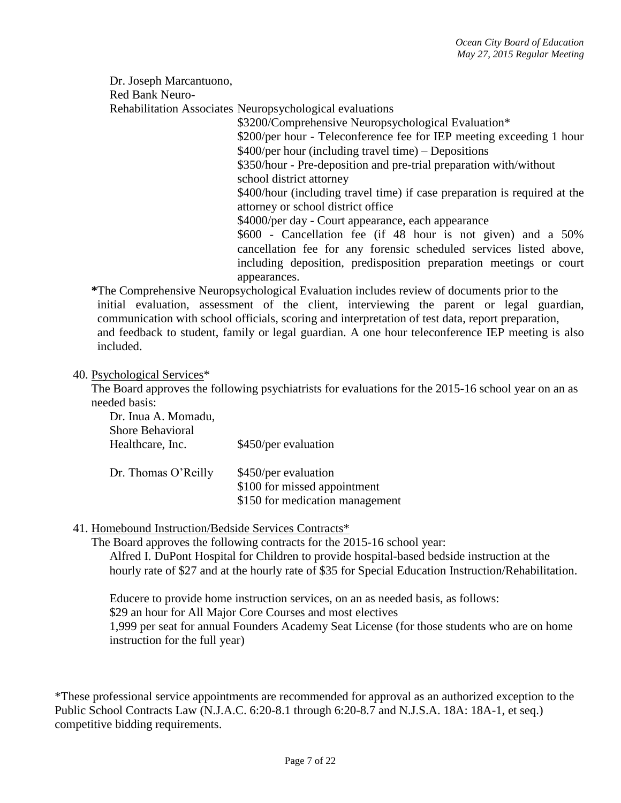Dr. Joseph Marcantuono,

Red Bank Neuro-

Rehabilitation Associates Neuropsychological evaluations

\$3200/Comprehensive Neuropsychological Evaluation\* \$200/per hour - Teleconference fee for IEP meeting exceeding 1 hour \$400/per hour (including travel time) – Depositions \$350/hour - Pre-deposition and pre-trial preparation with/without school district attorney \$400/hour (including travel time) if case preparation is required at the attorney or school district office \$4000/per day - Court appearance, each appearance \$600 - Cancellation fee (if 48 hour is not given) and a 50% cancellation fee for any forensic scheduled services listed above, including deposition, predisposition preparation meetings or court appearances.

**\***The Comprehensive Neuropsychological Evaluation includes review of documents prior to the initial evaluation, assessment of the client, interviewing the parent or legal guardian, communication with school officials, scoring and interpretation of test data, report preparation, and feedback to student, family or legal guardian. A one hour teleconference IEP meeting is also included.

### 40. Psychological Services\*

The Board approves the following psychiatrists for evaluations for the 2015-16 school year on an as needed basis:

| Dr. Inua A. Momadu,     |                                 |
|-------------------------|---------------------------------|
| <b>Shore Behavioral</b> |                                 |
| Healthcare, Inc.        | \$450/per evaluation            |
|                         |                                 |
| Dr. Thomas O'Reilly     | \$450/per evaluation            |
|                         | \$100 for missed appointment    |
|                         | \$150 for medication management |
|                         |                                 |

## 41. Homebound Instruction/Bedside Services Contracts\*

The Board approves the following contracts for the 2015-16 school year:

Alfred I. DuPont Hospital for Children to provide hospital-based bedside instruction at the hourly rate of \$27 and at the hourly rate of \$35 for Special Education Instruction/Rehabilitation.

Educere to provide home instruction services, on an as needed basis, as follows: \$29 an hour for All Major Core Courses and most electives 1,999 per seat for annual Founders Academy Seat License (for those students who are on home instruction for the full year)

\*These professional service appointments are recommended for approval as an authorized exception to the Public School Contracts Law (N.J.A.C. 6:20-8.1 through 6:20-8.7 and N.J.S.A. 18A: 18A-1, et seq.) competitive bidding requirements.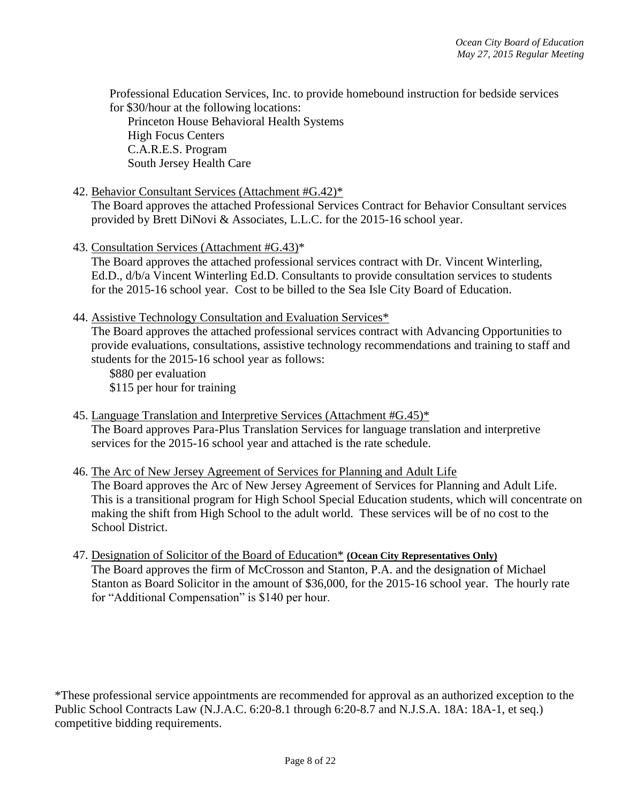Professional Education Services, Inc. to provide homebound instruction for bedside services for \$30/hour at the following locations:

Princeton House Behavioral Health Systems High Focus Centers C.A.R.E.S. Program South Jersey Health Care

### 42. Behavior Consultant Services (Attachment #G.42)\*

The Board approves the attached Professional Services Contract for Behavior Consultant services provided by Brett DiNovi & Associates, L.L.C. for the 2015-16 school year.

43. Consultation Services (Attachment #G.43)\*

The Board approves the attached professional services contract with Dr. Vincent Winterling, Ed.D., d/b/a Vincent Winterling Ed.D. Consultants to provide consultation services to students for the 2015-16 school year. Cost to be billed to the Sea Isle City Board of Education.

44. Assistive Technology Consultation and Evaluation Services\*

The Board approves the attached professional services contract with Advancing Opportunities to provide evaluations, consultations, assistive technology recommendations and training to staff and students for the 2015-16 school year as follows:

\$880 per evaluation \$115 per hour for training

45. Language Translation and Interpretive Services (Attachment #G.45)\* The Board approves Para-Plus Translation Services for language translation and interpretive services for the 2015-16 school year and attached is the rate schedule.

### 46. The Arc of New Jersey Agreement of Services for Planning and Adult Life

The Board approves the Arc of New Jersey Agreement of Services for Planning and Adult Life. This is a transitional program for High School Special Education students, which will concentrate on making the shift from High School to the adult world. These services will be of no cost to the School District.

47. Designation of Solicitor of the Board of Education\* **(Ocean City Representatives Only)** The Board approves the firm of McCrosson and Stanton, P.A. and the designation of Michael Stanton as Board Solicitor in the amount of \$36,000, for the 2015-16 school year. The hourly rate for "Additional Compensation" is \$140 per hour.

\*These professional service appointments are recommended for approval as an authorized exception to the Public School Contracts Law (N.J.A.C. 6:20-8.1 through 6:20-8.7 and N.J.S.A. 18A: 18A-1, et seq.) competitive bidding requirements.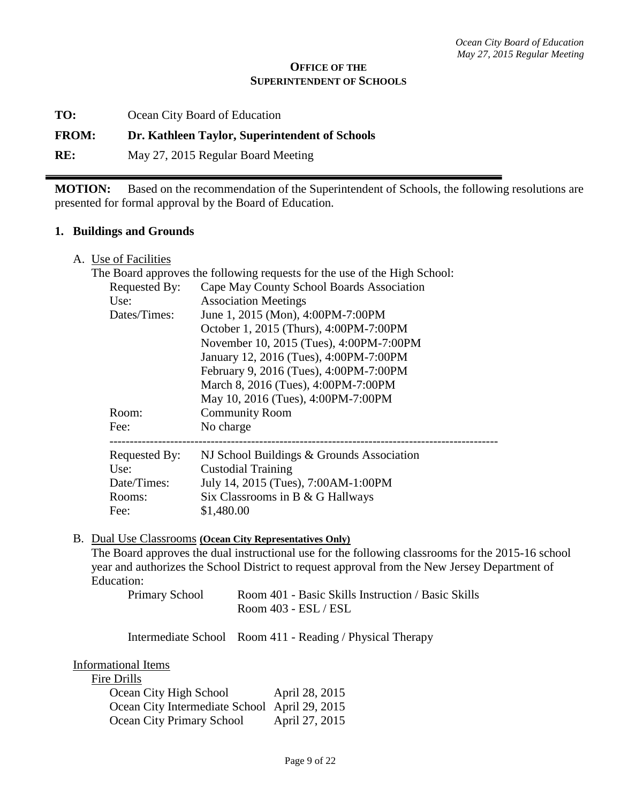#### **OFFICE OF THE SUPERINTENDENT OF SCHOOLS**

**TO:** Ocean City Board of Education

### **FROM: Dr. Kathleen Taylor, Superintendent of Schools**

**RE:** May 27, 2015 Regular Board Meeting

**MOTION:** Based on the recommendation of the Superintendent of Schools, the following resolutions are presented for formal approval by the Board of Education.

#### **1. Buildings and Grounds**

A. Use of Facilities

| The Board approves the following requests for the use of the High School: |                                           |
|---------------------------------------------------------------------------|-------------------------------------------|
| Requested By:                                                             | Cape May County School Boards Association |
| Use:                                                                      | <b>Association Meetings</b>               |
| Dates/Times:                                                              | June 1, 2015 (Mon), 4:00PM-7:00PM         |
|                                                                           | October 1, 2015 (Thurs), 4:00PM-7:00PM    |
|                                                                           | November 10, 2015 (Tues), 4:00PM-7:00PM   |
|                                                                           | January 12, 2016 (Tues), 4:00PM-7:00PM    |
|                                                                           | February 9, 2016 (Tues), 4:00PM-7:00PM    |
|                                                                           | March 8, 2016 (Tues), 4:00PM-7:00PM       |
|                                                                           | May 10, 2016 (Tues), 4:00PM-7:00PM        |
| Room:                                                                     | <b>Community Room</b>                     |
| Fee:                                                                      | No charge                                 |
| <b>Requested By:</b>                                                      | NJ School Buildings & Grounds Association |
| Use:                                                                      | <b>Custodial Training</b>                 |
| Date/Times:                                                               | July 14, 2015 (Tues), 7:00AM-1:00PM       |
| Rooms:                                                                    | Six Classrooms in B & G Hallways          |
| Fee:                                                                      | \$1,480.00                                |

B. Dual Use Classrooms **(Ocean City Representatives Only)**  The Board approves the dual instructional use for the following classrooms for the 2015-16 school year and authorizes the School District to request approval from the New Jersey Department of Education:

| <b>Primary School</b> | Room 401 - Basic Skills Instruction / Basic Skills |
|-----------------------|----------------------------------------------------|
|                       | Room 403 - ESL / ESL                               |

Intermediate School Room 411 - Reading / Physical Therapy

Informational Items

Fire Drills

| - - - - - - - - -                             |                |
|-----------------------------------------------|----------------|
| Ocean City High School                        | April 28, 2015 |
| Ocean City Intermediate School April 29, 2015 |                |
| Ocean City Primary School                     | April 27, 2015 |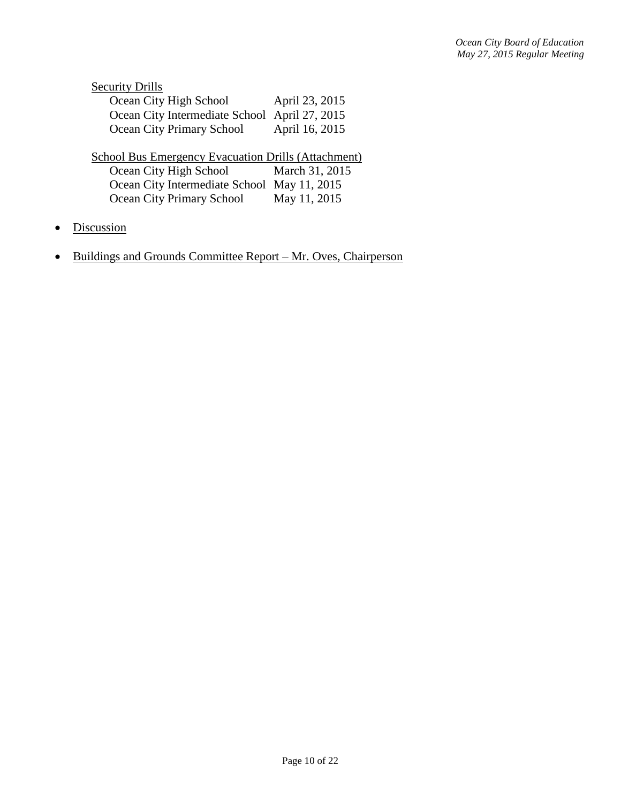| <b>Security Drills</b>                                     |                |  |  |
|------------------------------------------------------------|----------------|--|--|
| Ocean City High School                                     | April 23, 2015 |  |  |
| Ocean City Intermediate School April 27, 2015              |                |  |  |
| <b>Ocean City Primary School</b>                           | April 16, 2015 |  |  |
| <b>School Bus Emergency Evacuation Drills (Attachment)</b> |                |  |  |
| Ocean City High School                                     | March 31, 2015 |  |  |
| Ocean City Intermediate School May 11, 2015                |                |  |  |
| Ocean City Primary School                                  | May 11, 2015   |  |  |

- Discussion
- Buildings and Grounds Committee Report Mr. Oves, Chairperson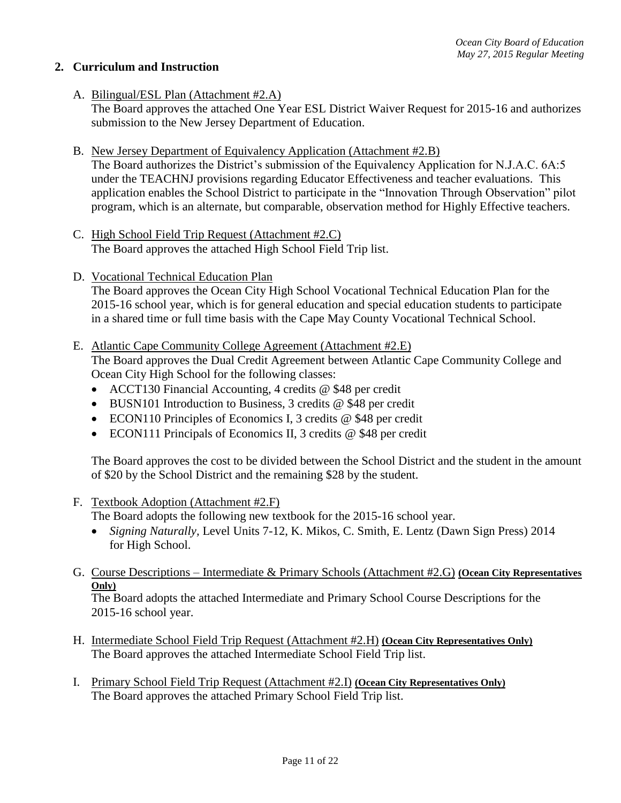### **2. Curriculum and Instruction**

- A. Bilingual/ESL Plan (Attachment #2.A) The Board approves the attached One Year ESL District Waiver Request for 2015-16 and authorizes submission to the New Jersey Department of Education.
- B. New Jersey Department of Equivalency Application (Attachment #2.B)

The Board authorizes the District's submission of the Equivalency Application for N.J.A.C. 6A:5 under the TEACHNJ provisions regarding Educator Effectiveness and teacher evaluations. This application enables the School District to participate in the "Innovation Through Observation" pilot program, which is an alternate, but comparable, observation method for Highly Effective teachers.

- C. High School Field Trip Request (Attachment #2.C) The Board approves the attached High School Field Trip list.
- D. Vocational Technical Education Plan

The Board approves the Ocean City High School Vocational Technical Education Plan for the 2015-16 school year, which is for general education and special education students to participate in a shared time or full time basis with the Cape May County Vocational Technical School.

E. Atlantic Cape Community College Agreement (Attachment #2.E)

The Board approves the Dual Credit Agreement between Atlantic Cape Community College and Ocean City High School for the following classes:

- ACCT130 Financial Accounting, 4 credits @ \$48 per credit
- BUSN101 Introduction to Business, 3 credits @ \$48 per credit
- ECON110 Principles of Economics I, 3 credits @ \$48 per credit
- ECON111 Principals of Economics II, 3 credits @ \$48 per credit

The Board approves the cost to be divided between the School District and the student in the amount of \$20 by the School District and the remaining \$28 by the student.

F. Textbook Adoption (Attachment #2.F)

The Board adopts the following new textbook for the 2015-16 school year.

- *Signing Naturally,* Level Units 7-12, K. Mikos, C. Smith, E. Lentz (Dawn Sign Press) 2014 for High School.
- G. Course Descriptions Intermediate & Primary Schools (Attachment #2.G) **(Ocean City Representatives Only)**

The Board adopts the attached Intermediate and Primary School Course Descriptions for the 2015-16 school year.

- H. Intermediate School Field Trip Request (Attachment #2.H) **(Ocean City Representatives Only)** The Board approves the attached Intermediate School Field Trip list.
- I. Primary School Field Trip Request (Attachment #2.I) **(Ocean City Representatives Only)** The Board approves the attached Primary School Field Trip list.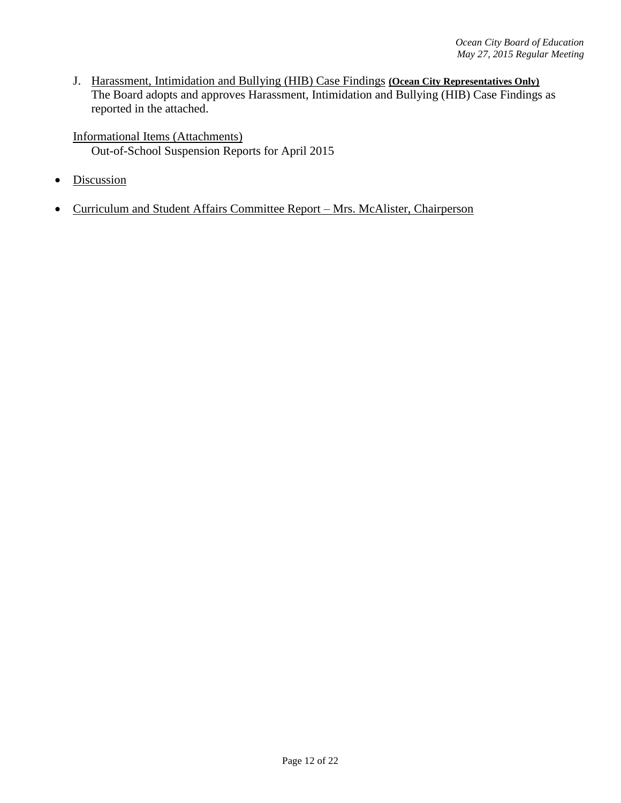J. Harassment, Intimidation and Bullying (HIB) Case Findings **(Ocean City Representatives Only)** The Board adopts and approves Harassment, Intimidation and Bullying (HIB) Case Findings as reported in the attached.

Informational Items (Attachments) Out-of-School Suspension Reports for April 2015

- Discussion
- Curriculum and Student Affairs Committee Report Mrs. McAlister, Chairperson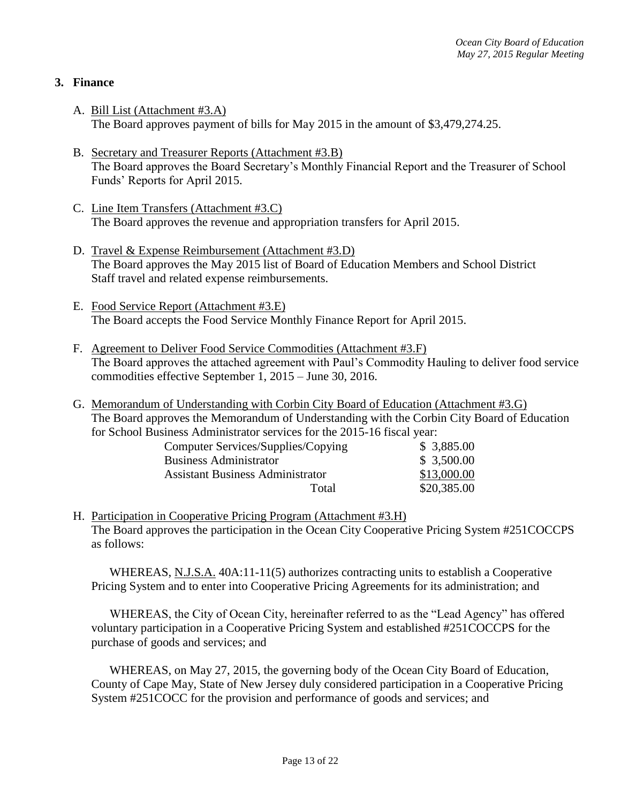## **3. Finance**

- A. Bill List (Attachment #3.A) The Board approves payment of bills for May 2015 in the amount of \$3,479,274.25.
- B. Secretary and Treasurer Reports (Attachment #3.B) The Board approves the Board Secretary's Monthly Financial Report and the Treasurer of School Funds' Reports for April 2015.
- C. Line Item Transfers (Attachment #3.C) The Board approves the revenue and appropriation transfers for April 2015.
- D. Travel & Expense Reimbursement (Attachment #3.D) The Board approves the May 2015 list of Board of Education Members and School District Staff travel and related expense reimbursements.
- E. Food Service Report (Attachment #3.E) The Board accepts the Food Service Monthly Finance Report for April 2015.
- F. Agreement to Deliver Food Service Commodities (Attachment #3.F) The Board approves the attached agreement with Paul's Commodity Hauling to deliver food service commodities effective September 1, 2015 – June 30, 2016.
- G. Memorandum of Understanding with Corbin City Board of Education (Attachment #3.G) The Board approves the Memorandum of Understanding with the Corbin City Board of Education for School Business Administrator services for the 2015-16 fiscal year:

| Computer Services/Supplies/Copying      | \$3,885.00  |
|-----------------------------------------|-------------|
| <b>Business Administrator</b>           | \$3,500.00  |
| <b>Assistant Business Administrator</b> | \$13,000.00 |
| Total                                   | \$20,385.00 |

H. Participation in Cooperative Pricing Program (Attachment #3.H) The Board approves the participation in the Ocean City Cooperative Pricing System #251COCCPS as follows:

WHEREAS, N.J.S.A.  $40A:11-11(5)$  authorizes contracting units to establish a Cooperative Pricing System and to enter into Cooperative Pricing Agreements for its administration; and

WHEREAS, the City of Ocean City, hereinafter referred to as the "Lead Agency" has offered voluntary participation in a Cooperative Pricing System and established #251COCCPS for the purchase of goods and services; and

WHEREAS, on May 27, 2015, the governing body of the Ocean City Board of Education, County of Cape May, State of New Jersey duly considered participation in a Cooperative Pricing System #251COCC for the provision and performance of goods and services; and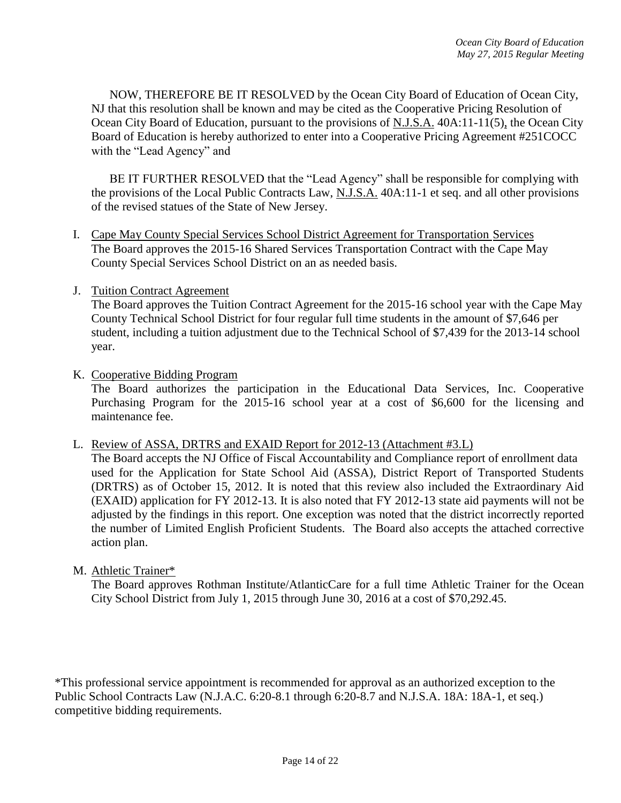NOW, THEREFORE BE IT RESOLVED by the Ocean City Board of Education of Ocean City, NJ that this resolution shall be known and may be cited as the Cooperative Pricing Resolution of Ocean City Board of Education, pursuant to the provisions of N.J.S.A. 40A:11-11(5), the Ocean City Board of Education is hereby authorized to enter into a Cooperative Pricing Agreement #251COCC with the "Lead Agency" and

BE IT FURTHER RESOLVED that the "Lead Agency" shall be responsible for complying with the provisions of the Local Public Contracts Law, N.J.S.A. 40A:11-1 et seq. and all other provisions of the revised statues of the State of New Jersey.

I. Cape May County Special Services School District Agreement for Transportation Services The Board approves the 2015-16 Shared Services Transportation Contract with the Cape May County Special Services School District on an as needed basis.

#### J. Tuition Contract Agreement

The Board approves the Tuition Contract Agreement for the 2015-16 school year with the Cape May County Technical School District for four regular full time students in the amount of \$7,646 per student, including a tuition adjustment due to the Technical School of \$7,439 for the 2013-14 school year.

#### K. Cooperative Bidding Program

The Board authorizes the participation in the Educational Data Services, Inc. Cooperative Purchasing Program for the 2015-16 school year at a cost of \$6,600 for the licensing and maintenance fee.

#### L. Review of ASSA, DRTRS and EXAID Report for 2012-13 (Attachment #3.L)

The Board accepts the NJ Office of Fiscal Accountability and Compliance report of enrollment data used for the Application for State School Aid (ASSA), District Report of Transported Students (DRTRS) as of October 15, 2012. It is noted that this review also included the Extraordinary Aid (EXAID) application for FY 2012-13. It is also noted that FY 2012-13 state aid payments will not be adjusted by the findings in this report. One exception was noted that the district incorrectly reported the number of Limited English Proficient Students. The Board also accepts the attached corrective action plan.

### M. Athletic Trainer\*

The Board approves Rothman Institute/AtlanticCare for a full time Athletic Trainer for the Ocean City School District from July 1, 2015 through June 30, 2016 at a cost of \$70,292.45.

\*This professional service appointment is recommended for approval as an authorized exception to the Public School Contracts Law (N.J.A.C. 6:20-8.1 through 6:20-8.7 and N.J.S.A. 18A: 18A-1, et seq.) competitive bidding requirements.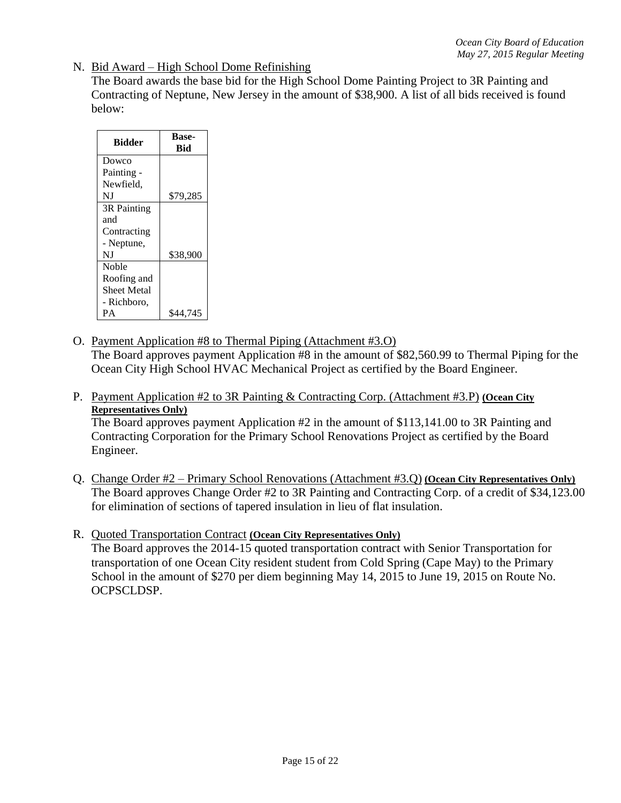N. Bid Award – High School Dome Refinishing

The Board awards the base bid for the High School Dome Painting Project to 3R Painting and Contracting of Neptune, New Jersey in the amount of \$38,900. A list of all bids received is found below:

| <b>Bidder</b> | <b>Base-</b><br><b>Bid</b> |
|---------------|----------------------------|
| Dowco         |                            |
| Painting -    |                            |
| Newfield.     |                            |
| NJ            | \$79,285                   |
| 3R Painting   |                            |
| and           |                            |
| Contracting   |                            |
| - Neptune,    |                            |
| NJ            | \$38,900                   |
| <b>Noble</b>  |                            |
| Roofing and   |                            |
| Sheet Metal   |                            |
| - Richboro,   |                            |
| PА            | \$44,745                   |

- O. Payment Application #8 to Thermal Piping (Attachment #3.O) The Board approves payment Application #8 in the amount of \$82,560.99 to Thermal Piping for the Ocean City High School HVAC Mechanical Project as certified by the Board Engineer.
- P. Payment Application #2 to 3R Painting & Contracting Corp. (Attachment #3.P) **(Ocean City Representatives Only)**

The Board approves payment Application #2 in the amount of \$113,141.00 to 3R Painting and Contracting Corporation for the Primary School Renovations Project as certified by the Board Engineer.

- Q. Change Order #2 Primary School Renovations (Attachment #3.Q) **(Ocean City Representatives Only)** The Board approves Change Order #2 to 3R Painting and Contracting Corp. of a credit of \$34,123.00 for elimination of sections of tapered insulation in lieu of flat insulation.
- R. Quoted Transportation Contract **(Ocean City Representatives Only)** The Board approves the 2014-15 quoted transportation contract with Senior Transportation for transportation of one Ocean City resident student from Cold Spring (Cape May) to the Primary School in the amount of \$270 per diem beginning May 14, 2015 to June 19, 2015 on Route No. OCPSCLDSP.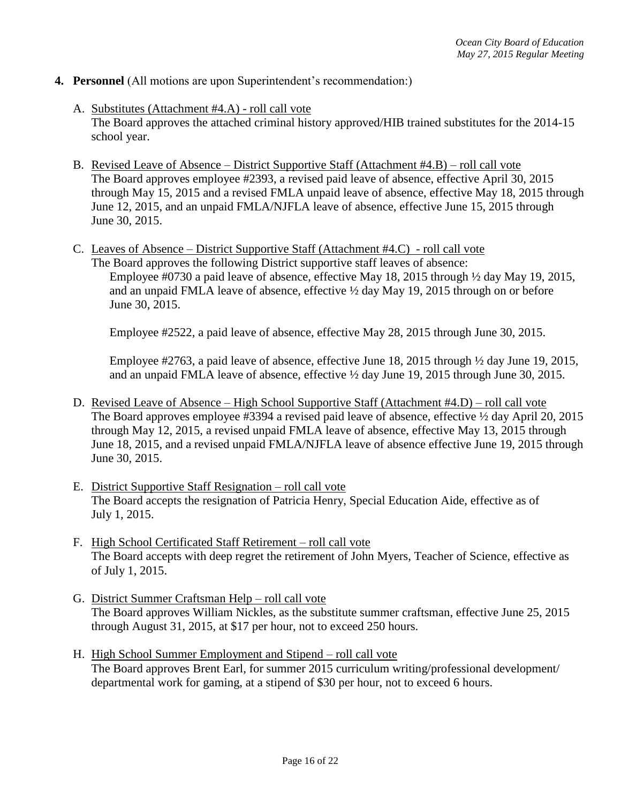### **4. Personnel** (All motions are upon Superintendent's recommendation:)

- A. Substitutes (Attachment #4.A) roll call vote The Board approves the attached criminal history approved/HIB trained substitutes for the 2014-15 school year.
- B. Revised Leave of Absence District Supportive Staff (Attachment #4.B) roll call vote The Board approves employee #2393, a revised paid leave of absence, effective April 30, 2015 through May 15, 2015 and a revised FMLA unpaid leave of absence, effective May 18, 2015 through June 12, 2015, and an unpaid FMLA/NJFLA leave of absence, effective June 15, 2015 through June 30, 2015.
- C. Leaves of Absence District Supportive Staff (Attachment #4.C) roll call vote The Board approves the following District supportive staff leaves of absence: Employee #0730 a paid leave of absence, effective May 18, 2015 through ½ day May 19, 2015, and an unpaid FMLA leave of absence, effective ½ day May 19, 2015 through on or before June 30, 2015.

Employee #2522, a paid leave of absence, effective May 28, 2015 through June 30, 2015.

Employee #2763, a paid leave of absence, effective June 18, 2015 through ½ day June 19, 2015, and an unpaid FMLA leave of absence, effective ½ day June 19, 2015 through June 30, 2015.

- D. Revised Leave of Absence High School Supportive Staff (Attachment #4.D) roll call vote The Board approves employee #3394 a revised paid leave of absence, effective ½ day April 20, 2015 through May 12, 2015, a revised unpaid FMLA leave of absence, effective May 13, 2015 through June 18, 2015, and a revised unpaid FMLA/NJFLA leave of absence effective June 19, 2015 through June 30, 2015.
- E. District Supportive Staff Resignation roll call vote The Board accepts the resignation of Patricia Henry, Special Education Aide, effective as of July 1, 2015.
- F. High School Certificated Staff Retirement roll call vote The Board accepts with deep regret the retirement of John Myers, Teacher of Science, effective as of July 1, 2015.
- G. District Summer Craftsman Help roll call vote The Board approves William Nickles, as the substitute summer craftsman, effective June 25, 2015 through August 31, 2015, at \$17 per hour, not to exceed 250 hours.
- H. High School Summer Employment and Stipend roll call vote The Board approves Brent Earl, for summer 2015 curriculum writing/professional development/ departmental work for gaming, at a stipend of \$30 per hour, not to exceed 6 hours.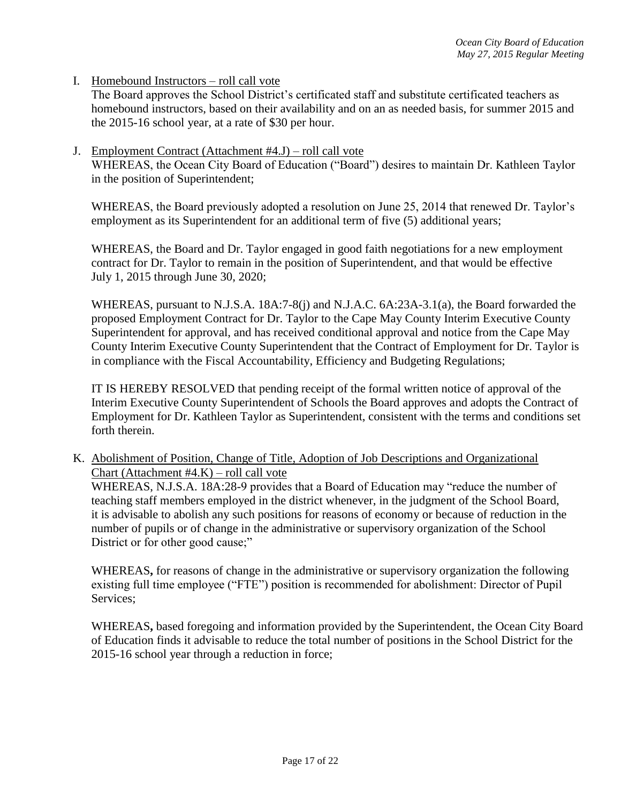I. Homebound Instructors – roll call vote

The Board approves the School District's certificated staff and substitute certificated teachers as homebound instructors, based on their availability and on an as needed basis, for summer 2015 and the 2015-16 school year, at a rate of \$30 per hour.

J. Employment Contract (Attachment #4.J) – roll call vote

WHEREAS, the Ocean City Board of Education ("Board") desires to maintain Dr. Kathleen Taylor in the position of Superintendent;

WHEREAS, the Board previously adopted a resolution on June 25, 2014 that renewed Dr. Taylor's employment as its Superintendent for an additional term of five (5) additional years;

WHEREAS, the Board and Dr. Taylor engaged in good faith negotiations for a new employment contract for Dr. Taylor to remain in the position of Superintendent, and that would be effective July 1, 2015 through June 30, 2020;

WHEREAS, pursuant to N.J.S.A. 18A:7-8(j) and N.J.A.C. 6A:23A-3.1(a), the Board forwarded the proposed Employment Contract for Dr. Taylor to the Cape May County Interim Executive County Superintendent for approval, and has received conditional approval and notice from the Cape May County Interim Executive County Superintendent that the Contract of Employment for Dr. Taylor is in compliance with the Fiscal Accountability, Efficiency and Budgeting Regulations;

IT IS HEREBY RESOLVED that pending receipt of the formal written notice of approval of the Interim Executive County Superintendent of Schools the Board approves and adopts the Contract of Employment for Dr. Kathleen Taylor as Superintendent, consistent with the terms and conditions set forth therein.

K. Abolishment of Position, Change of Title, Adoption of Job Descriptions and Organizational Chart (Attachment  $#4.K$ ) – roll call vote

WHEREAS, N.J.S.A. 18A:28-9 provides that a Board of Education may "reduce the number of teaching staff members employed in the district whenever, in the judgment of the School Board, it is advisable to abolish any such positions for reasons of economy or because of reduction in the number of pupils or of change in the administrative or supervisory organization of the School District or for other good cause;"

WHEREAS**,** for reasons of change in the administrative or supervisory organization the following existing full time employee ("FTE") position is recommended for abolishment: Director of Pupil Services;

WHEREAS**,** based foregoing and information provided by the Superintendent, the Ocean City Board of Education finds it advisable to reduce the total number of positions in the School District for the 2015-16 school year through a reduction in force;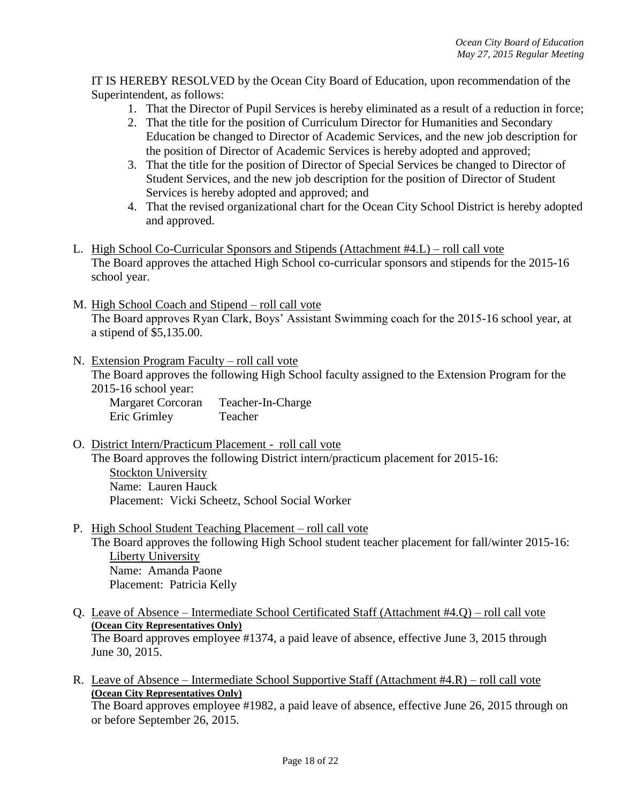IT IS HEREBY RESOLVED by the Ocean City Board of Education, upon recommendation of the Superintendent, as follows:

- 1. That the Director of Pupil Services is hereby eliminated as a result of a reduction in force;
- 2. That the title for the position of Curriculum Director for Humanities and Secondary Education be changed to Director of Academic Services, and the new job description for the position of Director of Academic Services is hereby adopted and approved;
- 3. That the title for the position of Director of Special Services be changed to Director of Student Services, and the new job description for the position of Director of Student Services is hereby adopted and approved; and
- 4. That the revised organizational chart for the Ocean City School District is hereby adopted and approved.
- L. High School Co-Curricular Sponsors and Stipends (Attachment #4.L) roll call vote The Board approves the attached High School co-curricular sponsors and stipends for the 2015-16 school year.
- M. High School Coach and Stipend roll call vote The Board approves Ryan Clark, Boys' Assistant Swimming coach for the 2015-16 school year, at a stipend of \$5,135.00.
- N. Extension Program Faculty roll call vote The Board approves the following High School faculty assigned to the Extension Program for the 2015-16 school year:

Margaret Corcoran Teacher-In-Charge Eric Grimley Teacher

- O. District Intern/Practicum Placement roll call vote The Board approves the following District intern/practicum placement for 2015-16: Stockton University Name: Lauren Hauck Placement: Vicki Scheetz, School Social Worker
- P. High School Student Teaching Placement roll call vote

The Board approves the following High School student teacher placement for fall/winter 2015-16: Liberty University Name: Amanda Paone Placement: Patricia Kelly

- Q. Leave of Absence Intermediate School Certificated Staff (Attachment #4.Q) roll call vote **(Ocean City Representatives Only)** The Board approves employee #1374, a paid leave of absence, effective June 3, 2015 through June 30, 2015.
- R. Leave of Absence Intermediate School Supportive Staff (Attachment #4.R) roll call vote **(Ocean City Representatives Only)** The Board approves employee #1982, a paid leave of absence, effective June 26, 2015 through on

or before September 26, 2015.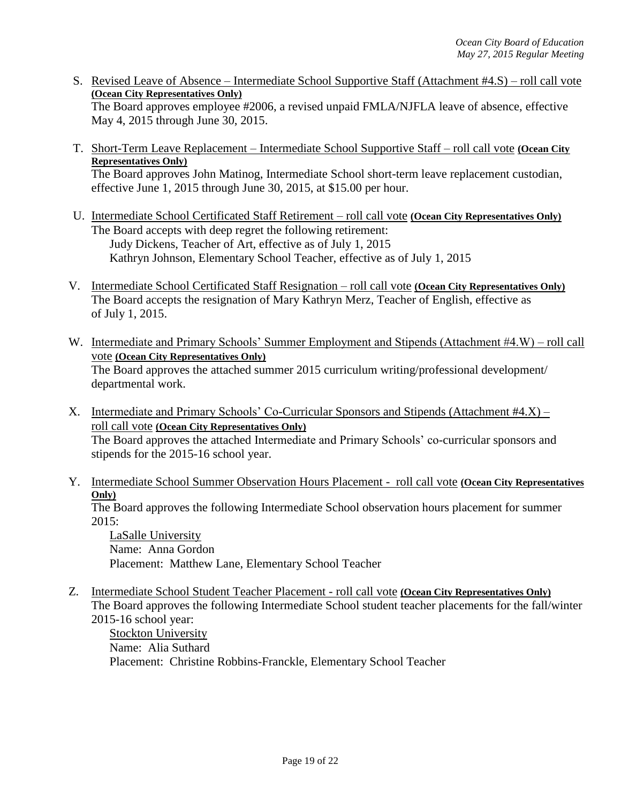S. Revised Leave of Absence – Intermediate School Supportive Staff (Attachment #4.S) – roll call vote **(Ocean City Representatives Only)** The Board approves employee #2006, a revised unpaid FMLA/NJFLA leave of absence, effective

May 4, 2015 through June 30, 2015.

- T. Short-Term Leave Replacement Intermediate School Supportive Staff roll call vote **(Ocean City Representatives Only)** The Board approves John Matinog, Intermediate School short-term leave replacement custodian, effective June 1, 2015 through June 30, 2015, at \$15.00 per hour.
- U. Intermediate School Certificated Staff Retirement roll call vote **(Ocean City Representatives Only)** The Board accepts with deep regret the following retirement: Judy Dickens, Teacher of Art, effective as of July 1, 2015 Kathryn Johnson, Elementary School Teacher, effective as of July 1, 2015
- V. Intermediate School Certificated Staff Resignation roll call vote **(Ocean City Representatives Only)** The Board accepts the resignation of Mary Kathryn Merz, Teacher of English, effective as of July 1, 2015.
- W. Intermediate and Primary Schools' Summer Employment and Stipends (Attachment #4.W) roll call vote **(Ocean City Representatives Only)** The Board approves the attached summer 2015 curriculum writing/professional development/ departmental work.
- X. Intermediate and Primary Schools' Co-Curricular Sponsors and Stipends (Attachment #4.X) roll call vote **(Ocean City Representatives Only)** The Board approves the attached Intermediate and Primary Schools' co-curricular sponsors and stipends for the 2015-16 school year.
- Y. Intermediate School Summer Observation Hours Placement roll call vote **(Ocean City Representatives Only)**

The Board approves the following Intermediate School observation hours placement for summer  $2015:$ 

LaSalle University Name: Anna Gordon Placement: Matthew Lane, Elementary School Teacher

Z. Intermediate School Student Teacher Placement - roll call vote **(Ocean City Representatives Only)** The Board approves the following Intermediate School student teacher placements for the fall/winter 2015-16 school year:

Stockton University Name: Alia Suthard Placement: Christine Robbins-Franckle, Elementary School Teacher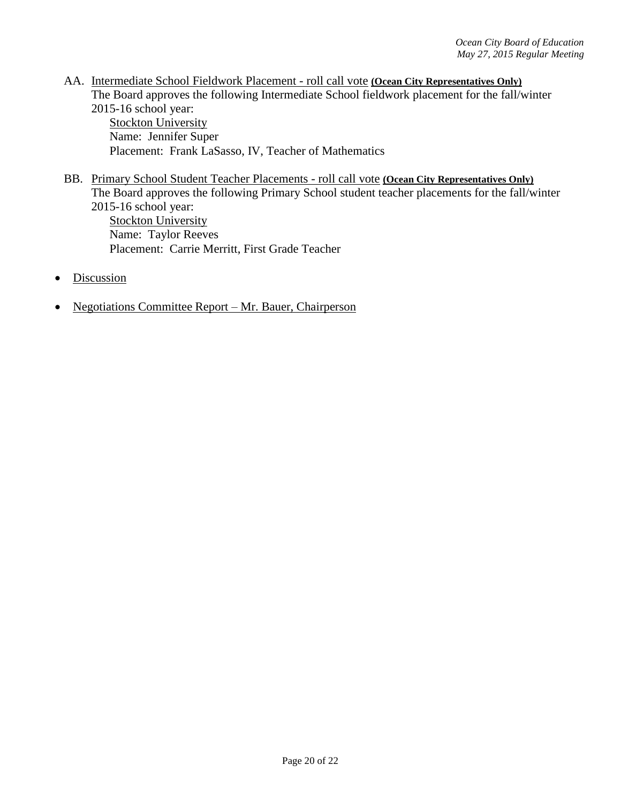- AA. Intermediate School Fieldwork Placement roll call vote **(Ocean City Representatives Only)** The Board approves the following Intermediate School fieldwork placement for the fall/winter 2015-16 school year: **Stockton University** Name: Jennifer Super
	- Placement: Frank LaSasso, IV, Teacher of Mathematics
- BB. Primary School Student Teacher Placements roll call vote **(Ocean City Representatives Only)** The Board approves the following Primary School student teacher placements for the fall/winter 2015-16 school year: **Stockton University** Name: Taylor Reeves Placement: Carrie Merritt, First Grade Teacher
- Discussion
- Negotiations Committee Report Mr. Bauer, Chairperson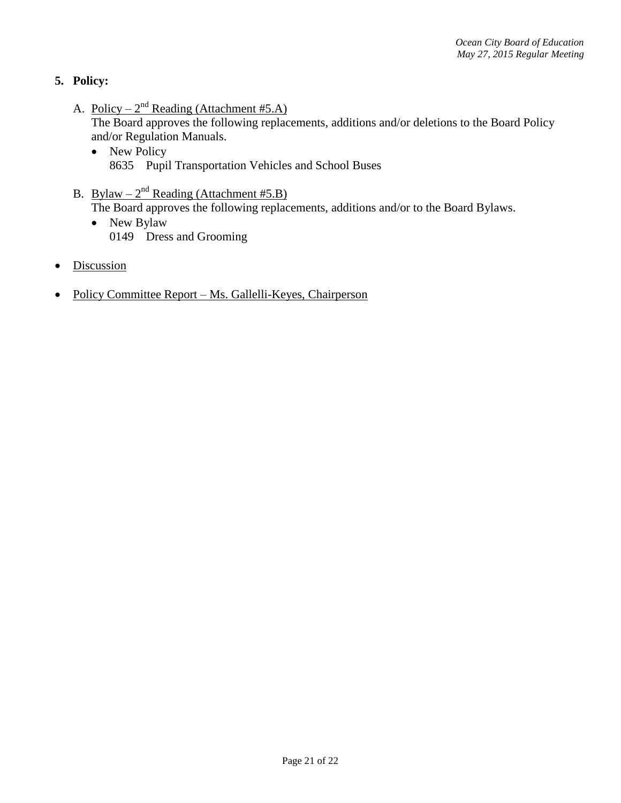# **5. Policy:**

A. Policy –  $2^{nd}$  Reading (Attachment #5.A)

The Board approves the following replacements, additions and/or deletions to the Board Policy and/or Regulation Manuals.

- New Policy 8635 Pupil Transportation Vehicles and School Buses
- B. Bylaw  $-2^{nd}$  Reading (Attachment #5.B) The Board approves the following replacements, additions and/or to the Board Bylaws.
	- New Bylaw 0149 Dress and Grooming
- **Discussion**
- Policy Committee Report Ms. Gallelli-Keyes, Chairperson